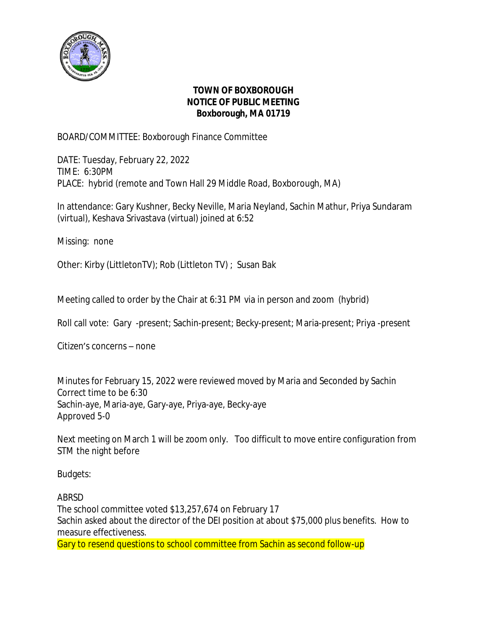

## **TOWN OF BOXBOROUGH NOTICE OF PUBLIC MEETING Boxborough, MA 01719**

BOARD/COMMITTEE: Boxborough Finance Committee

DATE: Tuesday, February 22, 2022 TIME: 6:30PM PLACE: hybrid (remote and Town Hall 29 Middle Road, Boxborough, MA)

In attendance: Gary Kushner, Becky Neville, Maria Neyland, Sachin Mathur, Priya Sundaram (virtual), Keshava Srivastava (virtual) joined at 6:52

Missing: none

Other: Kirby (LittletonTV); Rob (Littleton TV) ; Susan Bak

Meeting called to order by the Chair at 6:31 PM via in person and zoom (hybrid)

Roll call vote: Gary -present; Sachin-present; Becky-present; Maria-present; Priya -present

Citizen's concerns – none

Minutes for February 15, 2022 were reviewed moved by Maria and Seconded by Sachin Correct time to be 6:30 Sachin-aye, Maria-aye, Gary-aye, Priya-aye, Becky-aye Approved 5-0

Next meeting on March 1 will be zoom only. Too difficult to move entire configuration from STM the night before

Budgets:

ABRSD

The school committee voted \$13,257,674 on February 17 Sachin asked about the director of the DEI position at about \$75,000 plus benefits. How to measure effectiveness.

Gary to resend questions to school committee from Sachin as second follow-up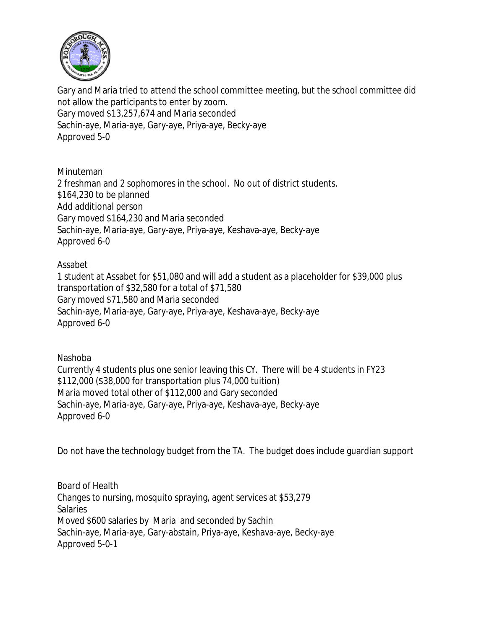

Gary and Maria tried to attend the school committee meeting, but the school committee did not allow the participants to enter by zoom. Gary moved \$13,257,674 and Maria seconded Sachin-aye, Maria-aye, Gary-aye, Priya-aye, Becky-aye Approved 5-0

Minuteman 2 freshman and 2 sophomores in the school. No out of district students. \$164,230 to be planned Add additional person Gary moved \$164,230 and Maria seconded Sachin-aye, Maria-aye, Gary-aye, Priya-aye, Keshava-aye, Becky-aye Approved 6-0

Assabet

1 student at Assabet for \$51,080 and will add a student as a placeholder for \$39,000 plus transportation of \$32,580 for a total of \$71,580 Gary moved \$71,580 and Maria seconded Sachin-aye, Maria-aye, Gary-aye, Priya-aye, Keshava-aye, Becky-aye Approved 6-0

Nashoba

Currently 4 students plus one senior leaving this CY. There will be 4 students in FY23 \$112,000 (\$38,000 for transportation plus 74,000 tuition) Maria moved total other of \$112,000 and Gary seconded Sachin-aye, Maria-aye, Gary-aye, Priya-aye, Keshava-aye, Becky-aye Approved 6-0

Do not have the technology budget from the TA. The budget does include guardian support

Board of Health Changes to nursing, mosquito spraying, agent services at \$53,279 Salaries Moved \$600 salaries by Maria and seconded by Sachin Sachin-aye, Maria-aye, Gary-abstain, Priya-aye, Keshava-aye, Becky-aye Approved 5-0-1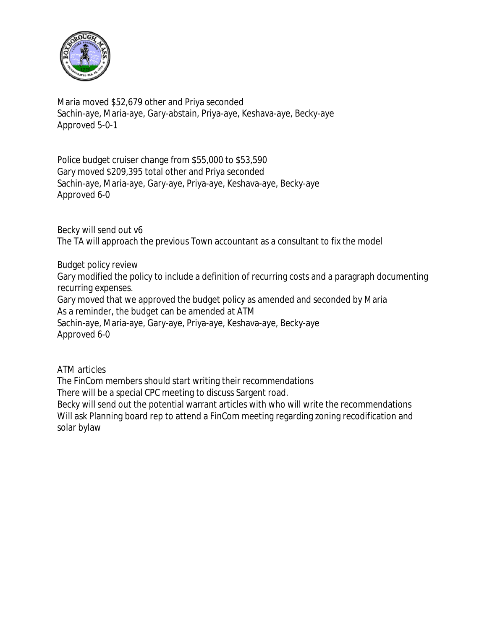

Maria moved \$52,679 other and Priya seconded Sachin-aye, Maria-aye, Gary-abstain, Priya-aye, Keshava-aye, Becky-aye Approved 5-0-1

Police budget cruiser change from \$55,000 to \$53,590 Gary moved \$209,395 total other and Priya seconded Sachin-aye, Maria-aye, Gary-aye, Priya-aye, Keshava-aye, Becky-aye Approved 6-0

Becky will send out v6 The TA will approach the previous Town accountant as a consultant to fix the model

Budget policy review

Gary modified the policy to include a definition of recurring costs and a paragraph documenting recurring expenses.

Gary moved that we approved the budget policy as amended and seconded by Maria As a reminder, the budget can be amended at ATM

Sachin-aye, Maria-aye, Gary-aye, Priya-aye, Keshava-aye, Becky-aye Approved 6-0

ATM articles

The FinCom members should start writing their recommendations

There will be a special CPC meeting to discuss Sargent road.

Becky will send out the potential warrant articles with who will write the recommendations Will ask Planning board rep to attend a FinCom meeting regarding zoning recodification and solar bylaw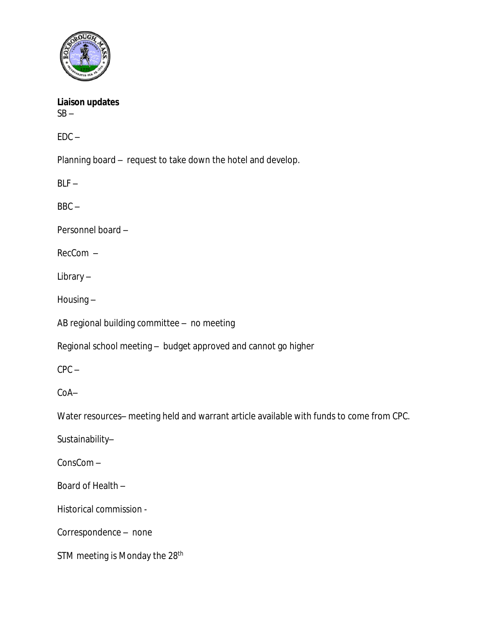

**Liaison updates**  $SB -$ 

 $EDC -$ 

Planning board – request to take down the hotel and develop.

 $BLF -$ 

BBC –

Personnel board –

RecCom –

Library –

Housing –

AB regional building committee – no meeting

Regional school meeting – budget approved and cannot go higher

CPC –

CoA–

Water resources– meeting held and warrant article available with funds to come from CPC.

Sustainability–

ConsCom –

Board of Health –

Historical commission -

Correspondence – none

STM meeting is Monday the 28<sup>th</sup>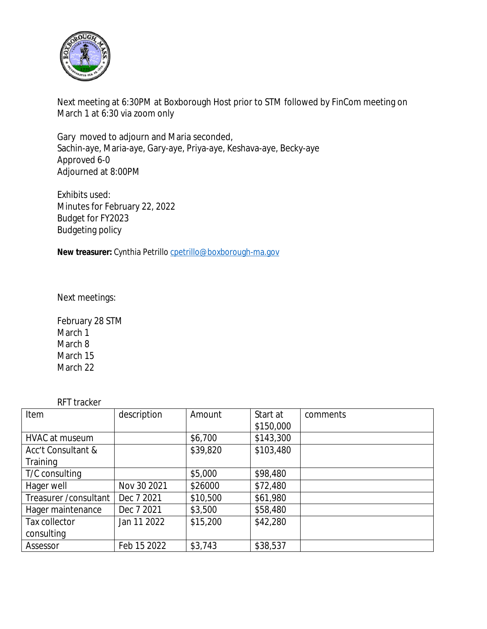

Next meeting at 6:30PM at Boxborough Host prior to STM followed by FinCom meeting on March 1 at 6:30 via zoom only

Gary moved to adjourn and Maria seconded, Sachin-aye, Maria-aye, Gary-aye, Priya-aye, Keshava-aye, Becky-aye Approved 6-0 Adjourned at 8:00PM

Exhibits used: Minutes for February 22, 2022 Budget for FY2023 Budgeting policy

New treasurer: Cynthia Petrillo [cpetrillo@boxborough-ma.gov](mailto:cpetrillo@boxborough-ma.gov)

[Next meetings:](mailto:cpetrillo@boxborough-ma.gov)

[February 28 STM](mailto:cpetrillo@boxborough-ma.gov) [March 1](mailto:cpetrillo@boxborough-ma.gov) [March 8](mailto:cpetrillo@boxborough-ma.gov) [March 15](mailto:cpetrillo@boxborough-ma.gov) [March 22](mailto:cpetrillo@boxborough-ma.gov)

[RFT tracker](mailto:cpetrillo@boxborough-ma.gov)

| וטוויטש וויו           |             |          |           |          |
|------------------------|-------------|----------|-----------|----------|
| Item                   | description | Amount   | Start at  | comments |
|                        |             |          | \$150,000 |          |
| HVAC at museum         |             | \$6,700  | \$143,300 |          |
| Acc't Consultant &     |             | \$39,820 | \$103,480 |          |
| Training               |             |          |           |          |
| T/C consulting         |             | \$5,000  | \$98,480  |          |
| Hager well             | Nov 30 2021 | \$26000  | \$72,480  |          |
| Treasurer / consultant | Dec 7 2021  | \$10,500 | \$61,980  |          |
| Hager maintenance      | Dec 7 2021  | \$3,500  | \$58,480  |          |
| Tax collector          | Jan 11 2022 | \$15,200 | \$42,280  |          |
| consulting             |             |          |           |          |
| Assessor               | Feb 15 2022 | \$3,743  | \$38,537  |          |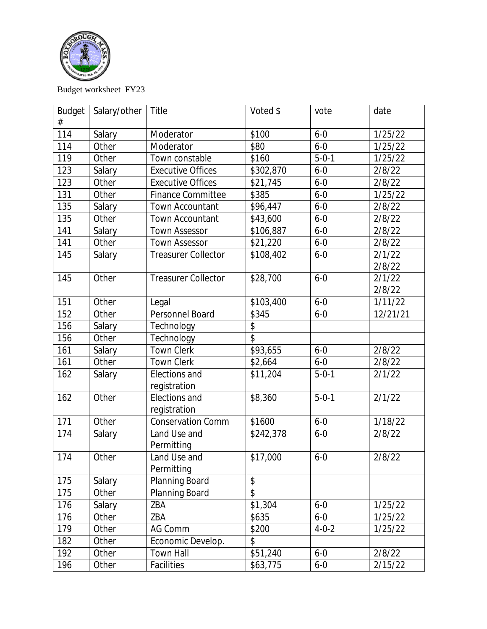

Budget worksheet FY23

| <b>Budget</b> | Salary/other | Title                      | Voted \$  | vote        | date     |
|---------------|--------------|----------------------------|-----------|-------------|----------|
| #             |              |                            |           |             |          |
| 114           | Salary       | Moderator                  | \$100     | $6 - 0$     | 1/25/22  |
| 114           | Other        | Moderator                  | \$80      | $6 - 0$     | 1/25/22  |
| 119           | Other        | Town constable             | \$160     | $5 - 0 - 1$ | 1/25/22  |
| 123           | Salary       | <b>Executive Offices</b>   | \$302,870 | $6 - 0$     | 2/8/22   |
| 123           | Other        | <b>Executive Offices</b>   | \$21,745  | $6 - 0$     | 2/8/22   |
| 131           | Other        | <b>Finance Committee</b>   | \$385     | $6 - 0$     | 1/25/22  |
| 135           | Salary       | Town Accountant            | \$96,447  | $6 - 0$     | 2/8/22   |
| 135           | Other        | <b>Town Accountant</b>     | \$43,600  | $6 - 0$     | 2/8/22   |
| 141           | Salary       | <b>Town Assessor</b>       | \$106,887 | $6 - 0$     | 2/8/22   |
| 141           | Other        | <b>Town Assessor</b>       | \$21,220  | $6 - 0$     | 2/8/22   |
| 145           | Salary       | <b>Treasurer Collector</b> | \$108,402 | $6 - 0$     | 2/1/22   |
|               |              |                            |           |             | 2/8/22   |
| 145           | Other        | <b>Treasurer Collector</b> | \$28,700  | $6 - 0$     | 2/1/22   |
|               |              |                            |           |             | 2/8/22   |
| 151           | Other        | Legal                      | \$103,400 | $6 - 0$     | 1/11/22  |
| 152           | Other        | Personnel Board            | \$345     | $6 - 0$     | 12/21/21 |
| 156           | Salary       | Technology                 | \$        |             |          |
| 156           | Other        | Technology                 | \$        |             |          |
| 161           | Salary       | <b>Town Clerk</b>          | \$93,655  | $6 - 0$     | 2/8/22   |
| 161           | Other        | <b>Town Clerk</b>          | \$2,664   | $6 - 0$     | 2/8/22   |
| 162           | Salary       | Elections and              | \$11,204  | $5 - 0 - 1$ | 2/1/22   |
|               |              | registration               |           |             |          |
| 162           | Other        | Elections and              | \$8,360   | $5 - 0 - 1$ | 2/1/22   |
|               |              | registration               |           |             |          |
| 171           | Other        | Conservation Comm          | \$1600    | $6 - 0$     | 1/18/22  |
| 174           | Salary       | Land Use and               | \$242,378 | $6 - 0$     | 2/8/22   |
|               |              | Permitting                 |           |             |          |
| 174           | Other        | Land Use and               | \$17,000  | $6 - 0$     | 2/8/22   |
|               |              | Permitting                 |           |             |          |
| 175           | Salary       | <b>Planning Board</b>      | \$        |             |          |
| 175           | Other        | Planning Board             | \$        |             |          |
| 176           | Salary       | ZBA                        | \$1,304   | $6 - 0$     | 1/25/22  |
| 176           | Other        | ZBA                        | \$635     | $6 - 0$     | 1/25/22  |
| 179           | Other        | AG Comm                    | \$200     | $4 - 0 - 2$ | 1/25/22  |
| 182           | Other        | Economic Develop.          | \$        |             |          |
| 192           | Other        | <b>Town Hall</b>           | \$51,240  | $6 - 0$     | 2/8/22   |
| 196           | Other        | Facilities                 | \$63,775  | $6-0$       | 2/15/22  |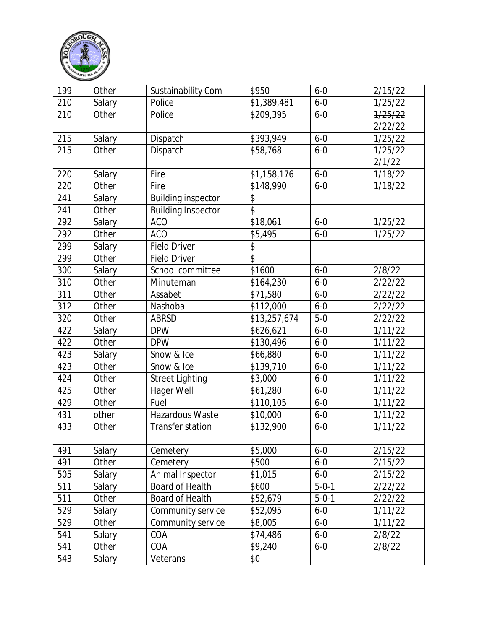

| 199 | Other  | Sustainability Com        | \$950           | $6 - 0$     | 2/15/22 |
|-----|--------|---------------------------|-----------------|-------------|---------|
| 210 | Salary | Police                    | \$1,389,481     | $6 - 0$     | 1/25/22 |
| 210 | Other  | Police                    | \$209,395       | $6 - 0$     | 1/25/22 |
|     |        |                           |                 |             | 2/22/22 |
| 215 | Salary | Dispatch                  | \$393,949       | $6 - 0$     | 1/25/22 |
| 215 | Other  | Dispatch                  | \$58,768        | $6 - 0$     | 1/25/22 |
|     |        |                           |                 |             | 2/1/22  |
| 220 | Salary | Fire                      | \$1,158,176     | $6 - 0$     | 1/18/22 |
| 220 | Other  | Fire                      | \$148,990       | $6 - 0$     | 1/18/22 |
| 241 | Salary | <b>Building inspector</b> | \$              |             |         |
| 241 | Other  | <b>Building Inspector</b> | $\overline{\$}$ |             |         |
| 292 | Salary | <b>ACO</b>                | \$18,061        | $6 - 0$     | 1/25/22 |
| 292 | Other  | <b>ACO</b>                | \$5,495         | $6 - 0$     | 1/25/22 |
| 299 | Salary | <b>Field Driver</b>       | \$              |             |         |
| 299 | Other  | <b>Field Driver</b>       | \$              |             |         |
| 300 | Salary | School committee          | \$1600          | $6 - 0$     | 2/8/22  |
| 310 | Other  | Minuteman                 | \$164,230       | $6 - 0$     | 2/22/22 |
| 311 | Other  | Assabet                   | \$71,580        | $6 - 0$     | 2/22/22 |
| 312 | Other  | Nashoba                   | \$112,000       | $6 - 0$     | 2/22/22 |
| 320 | Other  | <b>ABRSD</b>              | \$13,257,674    | $5-0$       | 2/22/22 |
| 422 | Salary | <b>DPW</b>                | \$626,621       | $6 - 0$     | 1/11/22 |
| 422 | Other  | <b>DPW</b>                | \$130,496       | $6 - 0$     | 1/11/22 |
| 423 | Salary | Snow & Ice                | \$66,880        | $6 - 0$     | 1/11/22 |
| 423 | Other  | Snow & Ice                | \$139,710       | $6 - 0$     | 1/11/22 |
| 424 | Other  | <b>Street Lighting</b>    | \$3,000         | $6 - 0$     | 1/11/22 |
| 425 | Other  | Hager Well                | \$61,280        | $6 - 0$     | 1/11/22 |
| 429 | Other  | Fuel                      | \$110,105       | $6 - 0$     | 1/11/22 |
| 431 | other  | Hazardous Waste           | \$10,000        | $6 - 0$     | 1/11/22 |
| 433 | Other  | <b>Transfer station</b>   | \$132,900       | $6 - 0$     | 1/11/22 |
| 491 | Salary | Cemetery                  | \$5,000         | $6-0$       | 2/15/22 |
| 491 | Other  | Cemetery                  | \$500           | $6-0$       | 2/15/22 |
| 505 | Salary | Animal Inspector          | \$1,015         | $6-0$       | 2/15/22 |
| 511 | Salary | Board of Health           | \$600           | $5 - 0 - 1$ | 2/22/22 |
| 511 | Other  | Board of Health           | \$52,679        | $5 - 0 - 1$ | 2/22/22 |
| 529 | Salary | Community service         | \$52,095        | $6 - 0$     | 1/11/22 |
| 529 | Other  | Community service         | \$8,005         | $6 - 0$     | 1/11/22 |
| 541 | Salary | COA                       | \$74,486        | $6 - 0$     | 2/8/22  |
| 541 | Other  | COA                       | \$9,240         | $6 - 0$     | 2/8/22  |
| 543 | Salary | Veterans                  | \$0             |             |         |